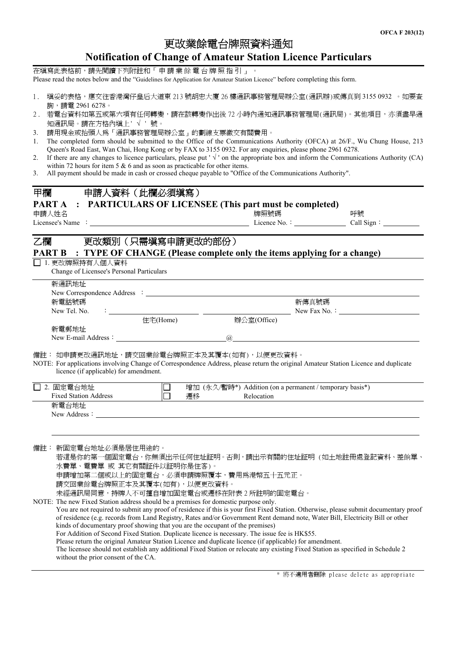## 更改業餘電台牌照資料通知 **Notification of Change of Amateur Station Licence Particulars**

在填寫此表格前,請先閱讀下列附註和「 申 請 業 餘 電 台 牌 照 指 引 」 。 Please read the notes below and the "Guidelines for Application for Amateur Station Licence" before completing this form.

- 1. 填妥的表格,應交往香港灣仔皇后大道東 213 號胡忠大廈 26 樓通訊事務管理局辦公室(通訊辦)或傳真到 3155 0932 。如要查 詢,請電 2961 6278。
- 2. 若電台資料如第五或第六項有任何轉變,請在該轉變作出後 72 小時內通知通訊事務管理局(通訊局)。其他項目,亦須盡早通 知通訊局。請在方格內填上' √ ' 號。
- 3. 請用現金或抬頭人為「通訊事務管理局辦公室」的劃線支票繳交有關費用。
- 1. The completed form should be submitted to the Office of the Communications Authority (OFCA) at 26/F., Wu Chung House, 213 Queen's Road East, Wan Chai, Hong Kong or by FAX to 3155 0932. For any enquiries, please phone 2961 6278.
- 2. If there are any changes to licence particulars, please put ' $\sqrt{ }$ ' on the appropriate box and inform the Communications Authority (CA) within 72 hours for item 5  $\&$  6 and as soon as practicable for other items.
- 3. All payment should be made in cash or crossed cheque payable to "Office of the Communications Authority".

| 甲欄<br>申請人資料 (此欄必須塡寫)                                                                                                                                                                                                                                                                                                |                                                          |    |
|---------------------------------------------------------------------------------------------------------------------------------------------------------------------------------------------------------------------------------------------------------------------------------------------------------------------|----------------------------------------------------------|----|
| PART A<br>: PARTICULARS OF LICENSEE (This part must be completed)                                                                                                                                                                                                                                                   |                                                          |    |
| 申請人姓名                                                                                                                                                                                                                                                                                                               | 牌照號碼                                                     | 呼號 |
|                                                                                                                                                                                                                                                                                                                     |                                                          |    |
|                                                                                                                                                                                                                                                                                                                     |                                                          |    |
| 更改類別 (只需填寫申請更改的部份)<br>乙欄                                                                                                                                                                                                                                                                                            |                                                          |    |
| <b>PART B</b> : TYPE OF CHANGE (Please complete only the items applying for a change)                                                                                                                                                                                                                               |                                                          |    |
| □ 1. 更改牌照持有人個人資料                                                                                                                                                                                                                                                                                                    |                                                          |    |
| Change of Licensee's Personal Particulars                                                                                                                                                                                                                                                                           |                                                          |    |
| 新通訊地址                                                                                                                                                                                                                                                                                                               |                                                          |    |
|                                                                                                                                                                                                                                                                                                                     |                                                          |    |
| 新電話號碼<br>New Tel. No.                                                                                                                                                                                                                                                                                               | 新傳真號碼                                                    |    |
| $\frac{1}{2}$ $\frac{1}{2}$ $\frac{1}{2}$ $\frac{1}{2}$ $\frac{1}{2}$ $\frac{1}{2}$ $\frac{1}{2}$ $\frac{1}{2}$ $\frac{1}{2}$ $\frac{1}{2}$ $\frac{1}{2}$ $\frac{1}{2}$ $\frac{1}{2}$ $\frac{1}{2}$ $\frac{1}{2}$ $\frac{1}{2}$ $\frac{1}{2}$ $\frac{1}{2}$ $\frac{1}{2}$ $\frac{1}{2}$ $\frac{1}{2}$ $\frac{1}{2}$ | 辦公室(Office)                                              |    |
| 新電郵地址                                                                                                                                                                                                                                                                                                               |                                                          |    |
|                                                                                                                                                                                                                                                                                                                     | $\omega$                                                 |    |
|                                                                                                                                                                                                                                                                                                                     |                                                          |    |
| 備註:如申請更改通訊地址,請交回業餘電台牌照正本及其覆本(如有),以便更改資料。<br>NOTE: For applications involving Change of Correspondence Address, please return the original Amateur Station Licence and duplicate                                                                                                                                     |                                                          |    |
| licence (if applicable) for amendment.                                                                                                                                                                                                                                                                              |                                                          |    |
|                                                                                                                                                                                                                                                                                                                     |                                                          |    |
| □ 2. 固定電台地址<br>$\Box$<br>lò.<br><b>Fixed Station Address</b>                                                                                                                                                                                                                                                        | 增加 (永久/暫時*) Addition (on a permanent / temporary basis*) |    |
| 遷移<br>新電台地址                                                                                                                                                                                                                                                                                                         | Relocation                                               |    |
| New Address: <u>New Address</u>                                                                                                                                                                                                                                                                                     |                                                          |    |
|                                                                                                                                                                                                                                                                                                                     |                                                          |    |
|                                                                                                                                                                                                                                                                                                                     |                                                          |    |
|                                                                                                                                                                                                                                                                                                                     |                                                          |    |
| 備註: 新固定電台地址必須是居住用途的。<br>若這是你的第一個固定電台,你無須出示任何住址証明。否則,請出示有關的住址証明 (如土地註冊處登記資料、差餉單、                                                                                                                                                                                                                                     |                                                          |    |
| 水費單、電費單 或 其它有關証件以証明你是住客)。                                                                                                                                                                                                                                                                                           |                                                          |    |
| 申請增加第二個或以上的固定電台,必須申請牌照覆本,費用為港幣五十五元正。                                                                                                                                                                                                                                                                                |                                                          |    |
| 請交回業餘電台牌照正本及其覆本(如有),以便更改資料。                                                                                                                                                                                                                                                                                         |                                                          |    |
| 未經通訊局同意,持牌人不可擅自增加固定電台或遷移在附表2所註明的固定電台。                                                                                                                                                                                                                                                                               |                                                          |    |
| NOTE: The new Fixed Station address should be a premises for domestic purpose only.<br>You are not required to submit any proof of residence if this is your first Fixed Station. Otherwise, please submit documentary proof                                                                                        |                                                          |    |
| of residence (e.g. records from Land Registry, Rates and/or Government Rent demand note, Water Bill, Electricity Bill or other                                                                                                                                                                                      |                                                          |    |
| kinds of documentary proof showing that you are the occupant of the premises)                                                                                                                                                                                                                                       |                                                          |    |
| For Addition of Second Fixed Station. Duplicate licence is necessary. The issue fee is HK\$55.                                                                                                                                                                                                                      |                                                          |    |
| Please return the original Amateur Station Licence and duplicate licence (if applicable) for amendment.                                                                                                                                                                                                             |                                                          |    |
| The licensee should not establish any additional Fixed Station or relocate any existing Fixed Station as specified in Schedule 2<br>without the prior consent of the CA.                                                                                                                                            |                                                          |    |
|                                                                                                                                                                                                                                                                                                                     |                                                          |    |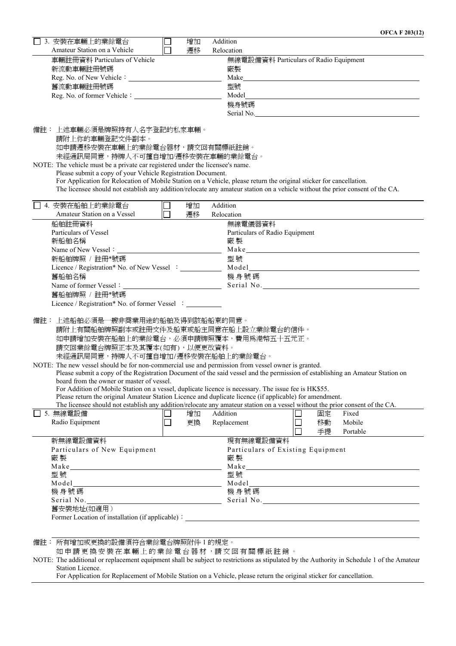| 3. 安裝在車輛上的業餘電台                                                                                                                |        | 增加 | Addition |                                                                                                                                                                                                                                |  |    |          |  |
|-------------------------------------------------------------------------------------------------------------------------------|--------|----|----------|--------------------------------------------------------------------------------------------------------------------------------------------------------------------------------------------------------------------------------|--|----|----------|--|
| Amateur Station on a Vehicle                                                                                                  |        | 遷移 |          | Relocation                                                                                                                                                                                                                     |  |    |          |  |
| 車輛註冊資料 Particulars of Vehicle                                                                                                 |        |    |          | 無線電設備資料 Particulars of Radio Equipment                                                                                                                                                                                         |  |    |          |  |
| 新流動車輛註冊號碼                                                                                                                     |        |    |          | 廠製                                                                                                                                                                                                                             |  |    |          |  |
|                                                                                                                               |        |    | Make     |                                                                                                                                                                                                                                |  |    |          |  |
| 舊流動車輛註冊號碼                                                                                                                     |        |    |          | 型號                                                                                                                                                                                                                             |  |    |          |  |
|                                                                                                                               |        |    |          |                                                                                                                                                                                                                                |  |    |          |  |
|                                                                                                                               |        |    |          | 機身號碼                                                                                                                                                                                                                           |  |    |          |  |
|                                                                                                                               |        |    |          | Serial No. 2008 and No. 2008 and No. 2008 and No. 2008 and No. 2008 and No. 2008 and No. 2008 and No. 2008 and No. 2008 and No. 2008 and No. 2008 and No. 2008 and No. 2008 and No. 2008 and No. 2008 and No. 2008 and No. 200 |  |    |          |  |
|                                                                                                                               |        |    |          |                                                                                                                                                                                                                                |  |    |          |  |
| 備註: 上述車輛必須是牌照持有人名字登記的私家車輛。                                                                                                    |        |    |          |                                                                                                                                                                                                                                |  |    |          |  |
| 請附上你的車輛登記文件副本。                                                                                                                |        |    |          |                                                                                                                                                                                                                                |  |    |          |  |
| 如申請遷移安裝在車輛上的業餘電台器材,請交回有關標紙註銷。                                                                                                 |        |    |          |                                                                                                                                                                                                                                |  |    |          |  |
| 未經通訊局同意,持牌人不可擅自增加/遷移安裝在車輛的業餘電台。                                                                                               |        |    |          |                                                                                                                                                                                                                                |  |    |          |  |
| NOTE: The vehicle must be a private car registered under the licensee's name.                                                 |        |    |          |                                                                                                                                                                                                                                |  |    |          |  |
| Please submit a copy of your Vehicle Registration Document.                                                                   |        |    |          |                                                                                                                                                                                                                                |  |    |          |  |
| For Application for Relocation of Mobile Station on a Vehicle, please return the original sticker for cancellation.           |        |    |          |                                                                                                                                                                                                                                |  |    |          |  |
| The licensee should not establish any addition/relocate any amateur station on a vehicle without the prior consent of the CA. |        |    |          |                                                                                                                                                                                                                                |  |    |          |  |
| □ 4. 安裝在船舶上的業餘電台                                                                                                              |        | 增加 | Addition |                                                                                                                                                                                                                                |  |    |          |  |
| Amateur Station on a Vessel                                                                                                   | $\Box$ | 遷移 |          | Relocation                                                                                                                                                                                                                     |  |    |          |  |
| 船舶註冊資料                                                                                                                        |        |    |          | 無線電儀器資料                                                                                                                                                                                                                        |  |    |          |  |
| Particulars of Vessel                                                                                                         |        |    |          | Particulars of Radio Equipment                                                                                                                                                                                                 |  |    |          |  |
| 新船舶名稱                                                                                                                         |        |    |          | 廠製                                                                                                                                                                                                                             |  |    |          |  |
|                                                                                                                               |        |    |          | Make Manuscripture and the Marian Community of the Marian Community of the Marian Community of the Marian Community of the Marian Community of the Marian Community of the Marian Community of the Marian Community of the Mar |  |    |          |  |
| 新船舶牌照 / 註冊*號碼                                                                                                                 |        |    |          | 型號                                                                                                                                                                                                                             |  |    |          |  |
|                                                                                                                               |        |    |          |                                                                                                                                                                                                                                |  |    |          |  |
| 舊船舶名稱                                                                                                                         |        |    |          | 機身號碼                                                                                                                                                                                                                           |  |    |          |  |
|                                                                                                                               |        |    |          |                                                                                                                                                                                                                                |  |    |          |  |
| 舊船舶牌照 / 註冊*號碼                                                                                                                 |        |    |          |                                                                                                                                                                                                                                |  |    |          |  |
| Licence / Registration* No. of former Vessel :                                                                                |        |    |          |                                                                                                                                                                                                                                |  |    |          |  |
|                                                                                                                               |        |    |          |                                                                                                                                                                                                                                |  |    |          |  |
| 備註: 上述船舶必須是一艘非商業用途的船舶及得到該船船東的同意。                                                                                              |        |    |          |                                                                                                                                                                                                                                |  |    |          |  |
| 請附上有關船舶牌照副本或註冊文件及船東或船主同意在船上設立業餘電台的信件。                                                                                         |        |    |          |                                                                                                                                                                                                                                |  |    |          |  |
| 如申請增加安裝在船舶上的業餘電台,必須申請牌照覆本,費用為港幣五十五元正。                                                                                         |        |    |          |                                                                                                                                                                                                                                |  |    |          |  |
| 請交回業餘電台牌照正本及其覆本(如有),以便更改資料。                                                                                                   |        |    |          |                                                                                                                                                                                                                                |  |    |          |  |
| 未經通訊局同意,持牌人不可擅自增加/遷移安裝在船舶上的業餘電台。                                                                                              |        |    |          |                                                                                                                                                                                                                                |  |    |          |  |
| NOTE: The new vessel should be for non-commercial use and permission from vessel owner is granted.                            |        |    |          |                                                                                                                                                                                                                                |  |    |          |  |
| Please submit a copy of the Registration Document of the said vessel and the permission of establishing an Amateur Station on |        |    |          |                                                                                                                                                                                                                                |  |    |          |  |
| board from the owner or master of vessel.                                                                                     |        |    |          |                                                                                                                                                                                                                                |  |    |          |  |
| For Addition of Mobile Station on a vessel, duplicate licence is necessary. The issue fee is HK\$55.                          |        |    |          |                                                                                                                                                                                                                                |  |    |          |  |
| Please return the original Amateur Station Licence and duplicate licence (if applicable) for amendment.                       |        |    |          |                                                                                                                                                                                                                                |  |    |          |  |
| The licensee should not establish any addition/relocate any amateur station on a vessel without the prior consent of the CA.  |        |    |          |                                                                                                                                                                                                                                |  |    |          |  |
| 5. 無線電設備                                                                                                                      |        | 增加 |          | Addition                                                                                                                                                                                                                       |  | 固定 | Fixed    |  |
| Radio Equipment                                                                                                               | $\Box$ | 更換 |          | Replacement                                                                                                                                                                                                                    |  | 移動 | Mobile   |  |
|                                                                                                                               |        |    |          |                                                                                                                                                                                                                                |  | 手提 | Portable |  |
| 新無線電設備資料                                                                                                                      |        |    |          | 現有無線電設備資料                                                                                                                                                                                                                      |  |    |          |  |
| Particulars of New Equipment                                                                                                  |        |    |          | Particulars of Existing Equipment                                                                                                                                                                                              |  |    |          |  |
| 廠製                                                                                                                            |        | 廠製 |          |                                                                                                                                                                                                                                |  |    |          |  |
|                                                                                                                               |        |    |          |                                                                                                                                                                                                                                |  |    |          |  |
| 型號                                                                                                                            |        |    | 型號       |                                                                                                                                                                                                                                |  |    |          |  |
|                                                                                                                               |        |    |          |                                                                                                                                                                                                                                |  |    |          |  |
| 機身號碼                                                                                                                          |        |    | 機身號碼     |                                                                                                                                                                                                                                |  |    |          |  |
| Serial No.                                                                                                                    |        |    |          |                                                                                                                                                                                                                                |  |    |          |  |
| 舊安裝地址(如適用)                                                                                                                    |        |    |          |                                                                                                                                                                                                                                |  |    |          |  |
|                                                                                                                               |        |    |          |                                                                                                                                                                                                                                |  |    |          |  |
|                                                                                                                               |        |    |          |                                                                                                                                                                                                                                |  |    |          |  |
| 的方摘而带重摘的凯典演算公署经重有喃网唯姓1的相喜。                                                                                                    |        |    |          |                                                                                                                                                                                                                                |  |    |          |  |

備註: 所有增加或更換的設備須符合業餘電台牌照附件 1 的規定。

如 申 請 更 換 安 裝 在 車 輛 上 的 業 餘 電 台 器 材 ,請 交 回 有 關 標 紙 註 銷 。

NOTE: The additional or replacement equipment shall be subject to restrictions as stipulated by the Authority in Schedule 1 of the Amateur Station Licence.

For Application for Replacement of Mobile Station on a Vehicle, please return the original sticker for cancellation.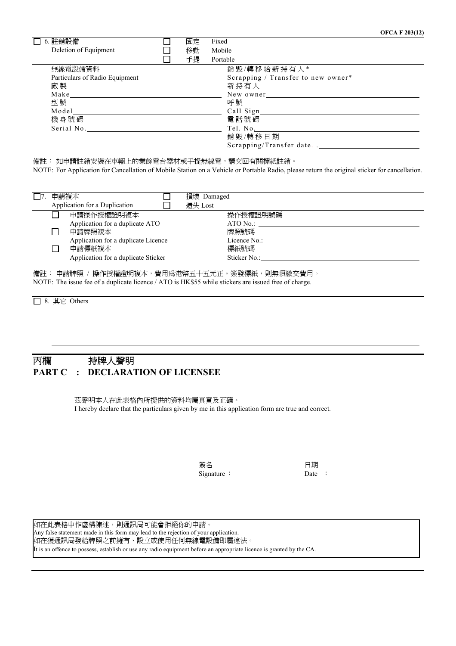| $\square$ 6. 註銷設備              | 固定 | Fixed                              |
|--------------------------------|----|------------------------------------|
| Deletion of Equipment          | 移動 | Mobile                             |
|                                | 手提 | Portable                           |
| 無線電設備資料                        |    | 銷毀/轉移給新持有人*                        |
| Particulars of Radio Equipment |    | Scrapping / Transfer to new owner* |
| 廠製                             |    | 新持有人                               |
|                                |    | New owner                          |
| 型號                             |    | 呼號                                 |
| Model                          |    | Call Sign $\_\_$                   |
| 機身號碼                           |    | 電話號碼                               |
| Serial No.                     |    | Tel. No.                           |
|                                |    | 銷毀/轉移日期                            |
|                                |    | Scrapping/Transfer date            |

備註:如申請註銷安裝在車輛上的業餘電台器材或手提無線電,請交回有關標紙註銷。

NOTE: For Application for Cancellation of Mobile Station on a Vehicle or Portable Radio, please return the original sticker for cancellation.

| 申請複本 |                                     | 損壞 Damaged   |  |
|------|-------------------------------------|--------------|--|
|      | Application for a Duplication       | 潰失 Lost      |  |
|      | 申請操作授權證明複本                          | 操作授權證明號碼     |  |
|      | Application for a duplicate ATO     | ATO No.:     |  |
|      | 申請牌照複本                              | 牌照號碼         |  |
|      | Application for a duplicate Licence | Licence No.: |  |
|      | 申請標紙複本                              | 標紙號碼         |  |
|      | Application for a duplicate Sticker | Sticker No.: |  |

備註: 申請牌照 / 操作授權證明複本,費用為港幣五十五元正。簽發標紙,則無須繳交費用。 NOTE: The issue fee of a duplicate licence / ATO is HK\$55 while stickers are issued free of charge.

□ 8. 其它 Others

#### 丙欄 持牌人聲明 **PART C : DECLARATION OF LICENSEE**

茲聲明本人在此表格內所提供的資料均屬真實及正確。 I hereby declare that the particulars given by me in this application form are true and correct.

> 簽名 日期 Signature : Date :

如在此表格中作虛構陳述,則通訊局可能會拒絕你的申請。 Any false statement made in this form may lead to the rejection of your application. 如在獲通訊局發給牌照之前擁有、設立或使用任何無線電設備即屬違法。 It is an offence to possess, establish or use any radio equipment before an appropriate licence is granted by the CA.